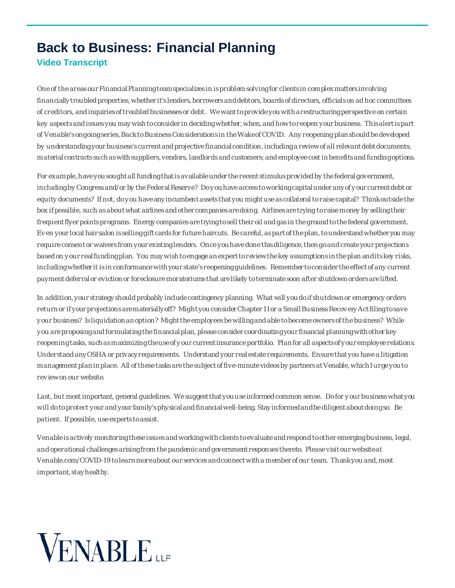## **Back to Business: Financial Planning Video Transcript**

One of the areas our Financial Planning team specializes in is problem solving for clients in complex matters involving financially troubled properties, whether it's lenders, borrowers and debtors, boards of directors, officials on ad hoc committees of creditors, and inquiries of troubled businesses or debt. We wantto provide you with a restructuring perspective on certain key aspects and issues you may wish to consider in deciding whether, when, and how to reopen your business. This alertis part of Venable's ongoing series, Back to Business Considerations in the Wake of COVID. Any reopening plan should be developed by understanding your business's current and projective financial condition, including a review of all relevant debt documents; material contracts such as with suppliers, vendors, landlords and customers; and employee cost in benefits and funding options.

For example, have you sought all funding that is available under the recent stimulus provided by the federal government, including by Congress and/or by the Federal Reserve? Do y ou have access to working capital under any of y our current debt or equity documents? If not, do y ou have any incumbent assets that you might use as collateral to raise capital? Think outside the box if possible, such as about what airlines and other companies are doing. Airlines are trying to raise money by selling their frequent flyer points programs. Energy companies are trying to sell their oil and gas in the ground to the federal government. Ev en your local hair salon is selling gift cards for future haircuts. Be careful, as part of the plan,to understand whether you may require consent or waivers from your existing lenders. Once you have done this diligence, then go and create your projections based on y our real funding plan. You may wish to engage an expert to review the key assumptions in the plan and its key risks, including whether it is in conformance with your state's reopening guidelines. Remember to consider the effect of any current payment deferral or eviction or foreclosure moratoriums that are likely to terminate soon after shutdown orders are lifted.

In addition, your strategy should probably include contingency planning. What will you do if shutdown or emergency orders return or if your projections are materially off? Might you consider Chapter 11 or a Small Business Recov ery Act filing to save y our business? Is liquidation an option? Might the employees be willing and able to become owners ofthe business? While y ou are proposing and formulating the financial plan, please consider coordinating your financial planning with other key reopening tasks, such as maximizing the use of y our current insurance portfolio. Plan for all aspects of y our employee relations. Understand any OSHA or privacy requirements. Understand your real estate requirements. Ensure that you have a litigation management plan in place. All of these tasks are the subject of five-minute videos by partners at Venable, which I urge you to rev iew on our website.

Last, but most important, general guidelines. We suggest that you use informed common sense. Dofor y our business what you will do to protect your and your family's physical and financial well-being. Stay informed and be diligent about doing so. Be patient. If possible, use experts to assist.

Venable is actively monitoring these issues and working with clients to evaluate and respond to other emerging business, legal, and operational challenges arising from the pandemic and government responses thereto. Please visit our websiteat Venable.com/COVID-19 to learn more about our services and connect with a member of our team. Thank you and, most important, stay healthy.